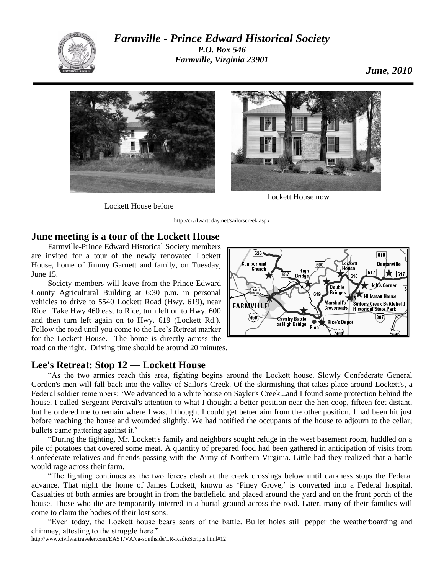

*Farmville - Prince Edward Historical Society P.O. Box 546 Farmville, Virginia 23901*



Lockett House before

http://civilwartoday.net/sailorscreek.aspx

## **June meeting is a tour of the Lockett House**

Farmville-Prince Edward Historical Society members are invited for a tour of the newly renovated Lockett House, home of Jimmy Garnett and family, on Tuesday, June 15.

Society members will leave from the Prince Edward County Agricultural Building at 6:30 p.m. in personal vehicles to drive to 5540 Lockett Road (Hwy. 619), near Rice. Take Hwy 460 east to Rice, turn left on to Hwy. 600 and then turn left again on to Hwy. 619 (Lockett Rd.). Follow the road until you come to the Lee's Retreat marker for the Lockett House. The home is directly across the

road on the right. Driving time should be around 20 minutes.

## **Lee's Retreat: Stop 12 — Lockett House**



"As the two armies reach this area, fighting begins around the Lockett house. Slowly Confederate General Gordon's men will fall back into the valley of Sailor's Creek. Of the skirmishing that takes place around Lockett's, a Federal soldier remembers: 'We advanced to a white house on Sayler's Creek...and I found some protection behind the house. I called Sergeant Percival's attention to what I thought a better position near the hen coop, fifteen feet distant, but he ordered me to remain where I was. I thought I could get better aim from the other position. I had been hit just before reaching the house and wounded slightly. We had notified the occupants of the house to adjourn to the cellar; bullets came pattering against it.'

"During the fighting, Mr. Lockett's family and neighbors sought refuge in the west basement room, huddled on a pile of potatoes that covered some meat. A quantity of prepared food had been gathered in anticipation of visits from Confederate relatives and friends passing with the Army of Northern Virginia. Little had they realized that a battle would rage across their farm.

"The fighting continues as the two forces clash at the creek crossings below until darkness stops the Federal advance. That night the home of James Lockett, known as 'Piney Grove,' is converted into a Federal hospital. Casualties of both armies are brought in from the battlefield and placed around the yard and on the front porch of the house. Those who die are temporarily interred in a burial ground across the road. Later, many of their families will come to claim the bodies of their lost sons.

"Even today, the Lockett house bears scars of the battle. Bullet holes still pepper the weatherboarding and chimney, attesting to the struggle here."